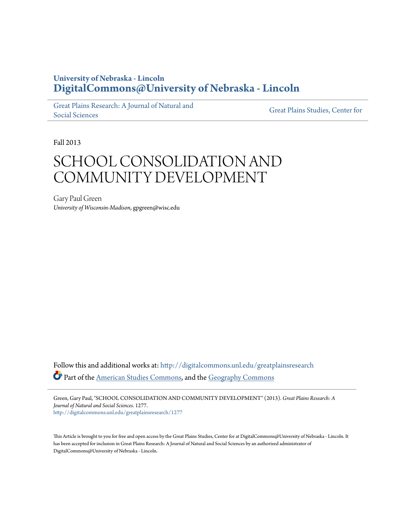# **University of Nebraska - Lincoln [DigitalCommons@University of Nebraska - Lincoln](http://digitalcommons.unl.edu?utm_source=digitalcommons.unl.edu%2Fgreatplainsresearch%2F1277&utm_medium=PDF&utm_campaign=PDFCoverPages)**

[Great Plains Research: A Journal of Natural and](http://digitalcommons.unl.edu/greatplainsresearch?utm_source=digitalcommons.unl.edu%2Fgreatplainsresearch%2F1277&utm_medium=PDF&utm_campaign=PDFCoverPages) [Social Sciences](http://digitalcommons.unl.edu/greatplainsresearch?utm_source=digitalcommons.unl.edu%2Fgreatplainsresearch%2F1277&utm_medium=PDF&utm_campaign=PDFCoverPages)

[Great Plains Studies, Center for](http://digitalcommons.unl.edu/greatplainsstudies?utm_source=digitalcommons.unl.edu%2Fgreatplainsresearch%2F1277&utm_medium=PDF&utm_campaign=PDFCoverPages)

Fall 2013

# SCHOOL CONSOLIDATION AND COMMUNITY DEVELOPMENT

Gary Paul Green *University of Wisconsin-Madison*, gpgreen@wisc.edu

Follow this and additional works at: [http://digitalcommons.unl.edu/greatplainsresearch](http://digitalcommons.unl.edu/greatplainsresearch?utm_source=digitalcommons.unl.edu%2Fgreatplainsresearch%2F1277&utm_medium=PDF&utm_campaign=PDFCoverPages) Part of the [American Studies Commons](http://network.bepress.com/hgg/discipline/439?utm_source=digitalcommons.unl.edu%2Fgreatplainsresearch%2F1277&utm_medium=PDF&utm_campaign=PDFCoverPages), and the [Geography Commons](http://network.bepress.com/hgg/discipline/354?utm_source=digitalcommons.unl.edu%2Fgreatplainsresearch%2F1277&utm_medium=PDF&utm_campaign=PDFCoverPages)

Green, Gary Paul, "SCHOOL CONSOLIDATION AND COMMUNITY DEVELOPMENT" (2013). *Great Plains Research: A Journal of Natural and Social Sciences*. 1277. [http://digitalcommons.unl.edu/greatplainsresearch/1277](http://digitalcommons.unl.edu/greatplainsresearch/1277?utm_source=digitalcommons.unl.edu%2Fgreatplainsresearch%2F1277&utm_medium=PDF&utm_campaign=PDFCoverPages)

This Article is brought to you for free and open access by the Great Plains Studies, Center for at DigitalCommons@University of Nebraska - Lincoln. It has been accepted for inclusion in Great Plains Research: A Journal of Natural and Social Sciences by an authorized administrator of DigitalCommons@University of Nebraska - Lincoln.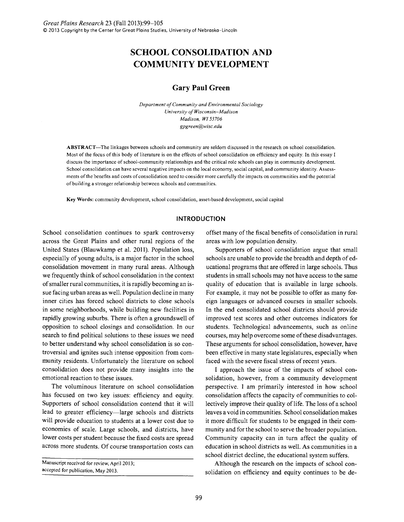# **SCHOOL CONSOLIDATION AND COMMUNITY DEVELOPMENT**

# **Gary Paul Green**

*Department of Community and Environmental Sociology University of Wisconsin-Madison Madison. WI 53706 gpgreen@wisc.edu* 

ABSTRACT-The linkages between schools and community are seldom discussed in the research on school consolidation. Most of the focus of this body of literature is on the effects of school consolidation on efficiency and equity. In this essay I discuss the importance of school-community relationships and the critical role schools can play in community development. School consolidation can have several negative impacts on the local economy, social capital, and community identity. Assessments of the benefits and costs of consolidation need to consider more carefully the impacts on communities and the potential of building a stronger relationship between schools and communities.

Key Words: community development, school consolidation, asset-based development, social capital

## **INTRODUCTION**

School consolidation continues to spark controversy across the Great Plains and other rural regions of the United States (Blauwkamp et al. 2011). Population loss, especially of young adults, is a major factor in the school consolidation movement in many rural areas. Although we frequently think of school consolidation in the context of smaller rural communities, it is rapidly becoming an issue facing urban areas as well. Population decline in many inner cities has forced school districts to close schools in some neighborhoods, while building new facilities in rapidly growing suburbs. There is often a groundswell of opposition to school closings and consolidation. In our search to find political solutions to these issues we need to better understand why school consolidation is so controversial and ignites such intense opposition from community residents. Unfortunately the literature on school consolidation does not provide many insights into the emotional reaction to these issues.

The voluminous literature on school consolidation has focused on two key issues: efficiency and equity. Supporters of school consolidation contend that it will lead to greater efficiency—large schools and districts will provide education to students at a lower cost due to economies of scale. Large schools, and districts, have lower costs per student because the fixed costs are spread across more students. Of course transportation costs can offset many of the fiscal benefits of consolidation in rural areas with low population density.

Supporters of school consolidation argue that small schools are unable to provide the breadth and depth of educational programs that are offered in large schools. Thus students in small schools may not have access to the same quality of education that is available in large schools. For example, it may not be possible to offer as many foreign languages or advanced courses in smaller schools. In the end consolidated school districts should provide improved test scores and other outcomes indicators for students. Technological advancements, such as online courses, may help overcome some of these disadvantages. These arguments for school consolidation, however, have been effective in many state legislatures, especially when faced with the severe fiscal stress of recent years.

I approach the issue of the impacts of school consolidation, however, from a community development perspective. I am primarily interested in how school consolidation affects the capacity of communities to collectively improve their quality of life. The loss of a school leaves a void in communities. School consolidation makes it more difficult for students to be engaged in their community and for the school to serve the broader population. Community capacity can in turn affect the quality of education in school districts as well. As communities in a school district decline, the educational system suffers.

Although the research on the impacts of school consolidation on efficiency and equity continues to be de-

Manuscript received for review, April 2013; accepted for publication, May 2013.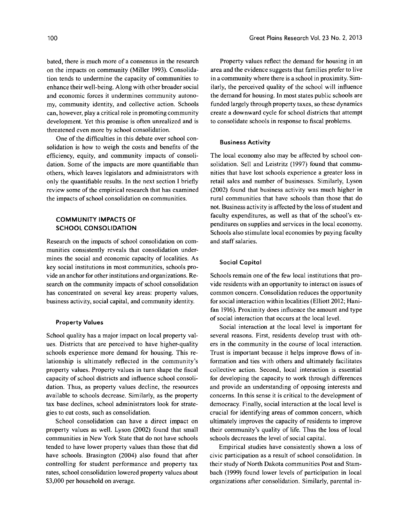bated, there is much more of a consensus in the research on the impacts on community (Miller 1993). Consolidation tends to undermine the capacity of communities to enhance their well-being. Along with other broader social and economic forces it undermines community autonomy, community identity, and collective action. Schools can, however, playa critical role in promoting community development. Yet this promise is often unrealized and is threatened even more by school consolidation.

One of the difficulties in this debate over school consolidation is how to weigh the costs and benefits of the efficiency, equity, and community impacts of consolidation. Some of the impacts are more quantifiable than others, which leaves legislators and administrators with only the quantifiable results. In the next section I briefly review some of the empirical research that has examined the impacts of school consolidation on communities.

# **COMMUNITY IMPACTS OF SCHOOL CONSOLIDATION**

Research on the impacts of school consolidation on communities consistently reveals that consolidation undermines the social and economic capacity of localities. As key social institutions in most communities, schools provide an anchor for other institutions and organizations. Research on the community impacts of school consolidation has concentrated on several key areas: property values, business activity, social capital, and community identity.

## **Property Values**

School quality has a major impact on local property values. Districts that are perceived to have higher-quality schools experience more demand for housing. This relationship is ultimately reflected in the community's property values. Property values in turn shape the fiscal capacity of school districts and influence school consolidation. Thus, as property values decline, the resources available to schools decrease. Similarly, as the property tax base declines, school administrators look for strategies to cut costs, such as consolidation.

School consolidation can have a direct impact on property values as well. Lyson (2002) found that small communities in New York State that do not have schools tended to have lower property values than those that did have schools. Brasington (2004) also found that after controlling for student performance and property tax rates, school consolidation lowered property values about \$3,000 per household on average.

Property values reflect the demand for housing in an area and the evidence suggests that families prefer to live in a community where there is a school in proximity. Similarly, the perceived quality of the school will influence the demand for housing. In most states public schools are funded largely through property taxes, so these dynamics create a downward cycle for school districts that attempt to consolidate schools in response to fiscal problems.

#### **Business Activity**

The local economy also may be affected by school consolidation. Sell and Leistritz (1997) found that communities that have lost schools experience a greater loss in retail sales and number of businesses. Similarly, Lyson (2002) found that business activity was much higher in rural communities that have schools than those that do not. Business activity is affected by the loss of student and faculty expenditures, as well as that of the school's expenditures on supplies and services in the local economy. Schools also stimulate local economies by paying faculty and staff salaries.

#### **Social Capital**

Schools remain one of the few local institutions that provide residents with an opportunity to interact on issues of common concern. Consolidation reduces the opportunity for social interaction within localities (Elliott 2012; Hanifan 1916). Proximity does influence the amount and type of social interaction that occurs at the local level.

Social interaction at the local level is important for several reasons. First, residents develop trust with others in the community in the course of local interaction. Trust is important because it helps improve flows of information and ties with others and ultimately facilitates collective action. Second, local interaction is essential for developing the capacity to work through differences and provide an understanding of opposing interests and concerns. In this sense it is critical to the development of democracy. Finally, social interaction at the local level is crucial for identifying areas of common concern, which ultimately improves the capacity of residents to improve their community's quality of life. Thus the loss of local schools decreases the level of social capital.

Empirical studies have consistently shown a loss of civic participation as a result of school consolidation. In their study of North Dakota communities Post and Stambach (1999) found lower levels of participation in local organizations after consolidation. Similarly, parental in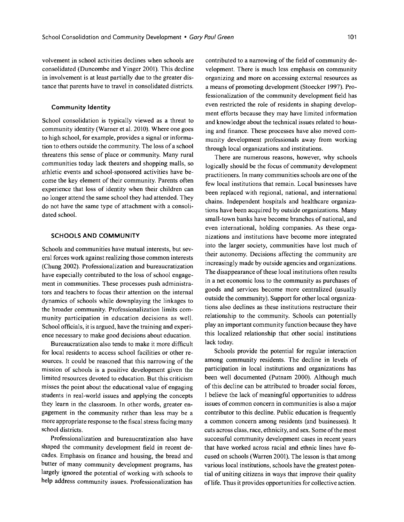volvement in school activities declines when schools are consolidated (Duncombe and Yinger 2001). This decline in involvement is at least partially due to the greater distance that parents have to travel in consolidated districts.

#### **Community Identity**

School consolidation is typically viewed as a threat to community identity (Warner et al. 2010). Where one goes to high school, for example, provides a signal or information to others outside the community. The loss of a school threatens this sense of place or community. Many rural communities today lack theaters and shopping malls, so athletic events and school-sponsored activities have become the key element of their community. Parents often experience that loss of identity when their children can no longer attend the same school they had attended. They do not have the same type of attachment with a consolidated school.

# **SCHOOLS AND COMMUNITY**

Schools and communities have mutual interests, but several forces work against realizing those common interests (Chung 2002). Professionalization and bureaucratization have especially contributed to the loss of school engagement in communities. These processes push administrators and teachers to focus their attention on the internal dynamics of schools while downplaying the linkages to the broader community. Professionalization limits community participation in education decisions as well. School officials, it is argued, have the training and experience necessary to make good decisions about education.

Bureaucratization also tends to make it more difficult for local residents to access school facilities or other resources. It could be reasoned that this narrowing of the mission of schools is a positive development given the limited resources devoted to education. But this criticism misses the point about the educational value of engaging students in real-world issues and applying the concepts they learn in the classroom. In other words, greater engagement in the community rather than less may be a more appropriate response to the fiscal stress facing many school districts.

Professionalization and bureaucratization also have shaped the community development field in recent decades. Emphasis on finance and housing, the bread and butter of many community development programs, has largely ignored the potential of working with schools to help address community issues. Professionalization has

contributed to a narrowing of the field of community development. There is much less emphasis on community organizing and more on accessing external resources as a means of promoting development (Stoecker 1997). Professionalization of the community development field has even restricted the role of residents in shaping development efforts because they may have limited information and knowledge about the technical issues related to housing and finance. These processes have also moved community development professionals away from working through local organizations and institutions.

There are numerous reasons, however, why schools logically should be the focus of community development practitioners. In many communities schools are one of the few local institutions that remain. Local businesses have been replaced with regional, national, and international chains. Independent hospitals and healthcare organizations have been acquired by outside organizations. Many small-town banks have become branches of national, and even international, holding companies. As these organizations and institutions have become more integrated into the larger society, communities have lost much of their autonomy. Decisions affecting the community are increasingly made by outside agencies and organizations. The disappearance of these local institutions often results in a net economic loss to the community as purchases of goods and services become more centralized (usually outside the community). Support for other local organizations also declines as these institutions restructure their relationship to the community. Schools can potentially play an important community function because they have this localized relationship that other social institutions lack today.

Schools provide the potential for regular interaction among community residents. The decline in levels of participation in local institutions and organizations has been well documented (Putnam 2000). Although much of this decline can be attributed to broader social forces, I believe the lack of meaningful opportunities to address issues of common concern in communities is also a major contributor to this decline. Public education is frequently a common concern among residents (and businesses). It cuts across class, race, ethnicity, and sex. Some of the most successful community development cases in recent years that have worked across racial and ethnic lines have focused on schools (Warren 2001). The lesson is that among various local institutions, schools have the greatest potential of uniting citizens in ways that improve their quality oflife. Thus it provides opportunities for collective action.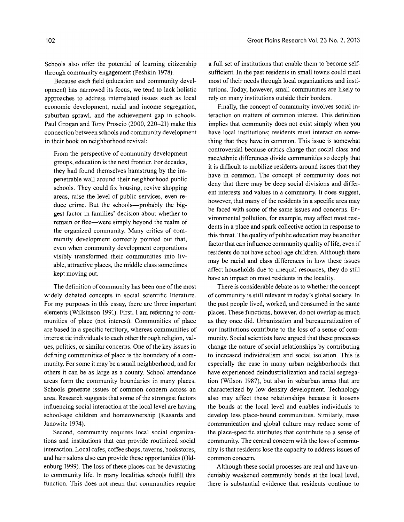Schools also offer the potential of learning citizenship through community engagement (Peshkin 1978).

Because each field (education and community development) has narrowed its focus, we tend to lack holistic approaches to address interrelated issues such as local economic development, racial and income segregation, suburban sprawl, and the achievement gap in schools. Paul Grogan and Tony Proscio (2000, 220-21) make this connection between schools and community development in their book on neighborhood revival:

From the perspective of community development groups, education is the next frontier. For decades, they had found themselves hamstrung by the impenetrable wall around their neighborhood public schools. They could fix housing, revive shopping areas, raise the level of public services, even reduce crime. But the schools—probably the biggest factor in families' decision about whether to remain or flee-were simply beyond the realm of the organized community. Many critics of community development correctly pointed out that, even when community development corporations visibly transformed their communities into livable, attractive places, the middle class sometimes kept moving out.

The definition of community has been one of the most widely debated concepts in social scientific literature. For my purposes in this essay, there are three important elements (Wilkinson 1991). First, I am referring to communities of place (not interest). Communities of place are based in a specific territory, whereas communities of interest tie individuals to each other through religion, values, politics, or similar concerns. One of the key issues in defining communities of place is the boundary of a community. For some it may be a small neighborhood, and for others it can be as large as a county. School attendance areas form the community boundaries in many places. Schools generate issues of common concern across an area. Research suggests that some of the strongest factors influencing social interaction at the local level are having school-age children and homeownership (Kasarda and Janowitz 1974).

Second, community requires local social organizations and institutions that can provide routinized social interaction. Local cafes, coffee shops, taverns, bookstores, and hair salons also can provide these opportunities (Oldenburg 1999). The loss of these places can be devastating to community life. In many localities schools fulfill this function. This does not mean that communities require a full set of institutions that enable them to become selfsufficient. In the past residents in small towns could meet most of their needs through local organizations and institutions. Today, however, small communities are likely to rely on many institutions outside their borders.

Finally, the concept of community involves social interaction on matters of common interest. This definition implies that community does not exist simply when you have local institutions; residents must interact on something that they have in common. This issue is somewhat controversial because critics charge that social class and race/ethnic differences divide communities so deeply that it is difficult to mobilize residents around issues that they have in common. The concept of community does not deny that there may be deep social divisions and different interests and values in a community. It does suggest, however, that many of the residents in a specific area may be faced with some of the same issues and concerns. Environmental pollution, for example, may affect most residents in a place and spark collective action in response to this threat. The quality of public education may be another factor that can influence community quality of life, even if residents do not have school-age children. Although there may be racial and class differences in how these issues affect households due to unequal resources, they do still have an impact on most residents in the locality.

There is considerable debate as to whether the concept of community is still relevant in today's global society. In the past people lived, worked, and consumed in the same places. These functions, however, do not overlap as much as they once did. Urbanization and bureaucratization of our institutions contribute to the loss of a sense of community. Social scientists have argued that these processes change the nature of social relationships by contributing to increased individualism and social isolation. This is especially the case in many urban neighborhoods that have experienced deindustrialization and racial segregation (Wilson 1987), but also in suburban areas that are characterized by low-density development. Technology also may affect these relationships because it loosens the bonds at the local level and enables individuals to develop less place-bound communities. Similarly, mass communication and global culture may reduce some of the place-specific attributes that contribute to a sense of community. The central concern with the loss of community is that residents lose the capacity to address issues of common concern.

Although these social processes are real and have undeniably weakened community bonds at the local level, there is substantial evidence that residents continue to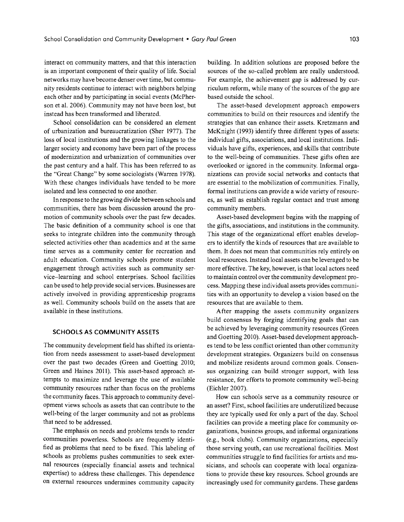interact on community matters, and that this interaction is an important component of their quality of life. Social networks may have become denser over time, but community residents continue to interact with neighbors helping each other and by participating in social events (McPherson et al. 2006). Community may not have been lost, but instead has been transformed and liberated.

School consolidation can be considered an element of urbanization and bureaucratization (Sher 1977). The loss of local institutions and the growing linkages to the larger society and economy have been part of the process of modernization and urbanization of communities over the past century and a half. This has been referred to as the "Great Change" by some sociologists (Warren 1978). With these changes individuals have tended to be more isolated and less connected to one another.

In response to the growing divide between schools and communities, there has been discussion around the promotion of community schools over the past few decades. The basic definition of a community school is one that seeks to integrate children into the community through selected activities other than academics and at the same time serves as a community center for recreation and adult education. Community schools promote student engagement through activities such as community service-learning and school enterprises. School facilities can be used to help provide social services. Businesses are actively involved in providing apprenticeship programs as well. Community schools build on the assets that are available in these institutions.

#### **SCHOOLS AS COMMUNITY ASSETS**

The community development field has shifted its orientation from needs assessment to asset-based development over the past two decades (Green and Goetting 2010; Green and Haines 2011). This asset-based approach attempts to maximize and leverage the use of available community resources rather than focus on the problems the community faces. This approach to community development views schools as assets that can contribute to the well-being of the larger community and not as problems that need to be addressed.

The emphasis on needs and problems tends to render communities powerless. Schools are frequently identified as problems that need to be fixed. This labeling of schools as problems pushes communities to seek external resources (especially financial assets and technical expertise) to address these challenges. This dependence on external resources undermines community capacity

building. In addition solutions are proposed before the sources of the so-called problem are really understood. For example, the achievement gap is addressed by curriculum reform, while many of the sources of the gap are based outside the school.

The asset-based development approach empowers communities to build on their resources and identify the strategies that can enhance their assets. Kretzmann and McKnight (1993) identify three different types of assets: individual gifts, associations, and local institutions. Individuals have gifts, experiences, and skills that contribute to the well-being of communities. These gifts often are overlooked or ignored in the community. Informal organizations can provide social networks and contacts that are essential to the mobilization of communities. Finally, formal institutions can provide a wide variety of resources, as well as establish regular contact and trust among community members.

Asset-based development begins with the mapping of the gifts, associations, and institutions in the community. This stage of the organizational effort enables developers to identify the kinds of resources that are available to them. It does not mean that communities rely entirely on local resources. Instead local assets can be leveraged to be more effective. The key, however, is that local actors need to maintain control over the community development process. Mapping these individual assets provides communities with an opportunity to develop a vision based on the resources that are available to them.

After mapping the assets community organizers build consensus by forging identifying goals that can be achieved by leveraging community resources (Green and Goetting 2010). Asset-based development approaches tend to be less conflict oriented than other community development strategies. Organizers build on consensus and mobilize residents around common goals. Consensus organizing can build stronger support, with less resistance, for efforts to promote community well-being (Eichler 2007).

How can schools serve as a community resource or an asset? First, school facilities are underutilized because they are typically used for only a part of the day. School facilities can provide a meeting place for community organizations, business groups, and informal organizations (e.g., book clubs). Community organizations, especially those serving youth, can use recreational facilities. Most communities struggle to find facilities for artists and musicians, and schools can cooperate with local organizations to provide these key resources. School grounds are increasingly used for community gardens. These gardens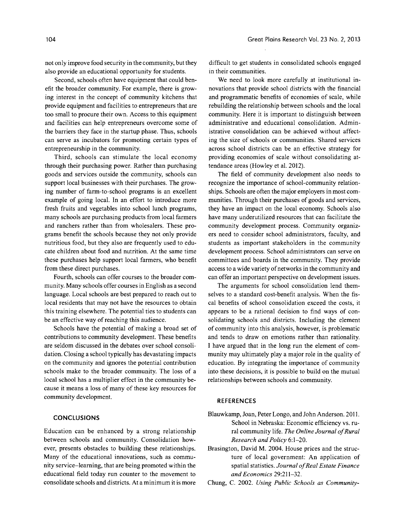not only improve food security in the community, but they also provide an educational opportunity for students.

Second, schools often have equipment that could benefit the broader community. For example, there is growing interest in the concept of community kitchens that provide equipment and facilities to entrepreneurs that are too small to procure their own. Access to this equipment and facilities can help entrepreneurs overcome some of the barriers they face in the startup phase. Thus, schools can serve as incubators for promoting certain types of entrepreneurship in the community.

Third, schools can stimulate the local economy through their purchasing power. Rather than purchasing goods and services outside the community, schools can support local businesses with their purchases. The growing number of farm-to-school programs is an excellent example of going local. In an effort to introduce more fresh fruits and vegetables into school lunch programs, many schools are purchasing products from local farmers and ranchers rather than from wholesalers. These programs benefit the schools because they not only provide nutritious food, but they also are frequently used to educate children about food and nutrition. At the same time these purchases help support local farmers, who benefit from these direct purchases.

Fourth, schools can offer courses to the broader community. Many schools offer courses in English as a second language. Local schools are best prepared to reach out to local residents that may not have the resources to obtain this training elsewhere. The potential ties to students can be an effective way of reaching this audience.

Schools have the potential of making a broad set of contributions to community development. These benefits are seldom discussed in the debates over school consolidation. Closing a school typically has devastating impacts on the community and ignores the potential contribution schools make to the broader community. The loss of a local school has a multiplier effect in the community because it means a loss of many of these key resources for community development.

#### **CONCLUSIONS**

Education can be enhanced by a strong relationship between schools and community. Consolidation however, presents obstacles to building these relationships. Many of the educational innovations, such as community service-learning, that are being promoted within the educational field today run counter to the movement to consolidate schools and districts. At a minimum it is more difficult to get students in consolidated schools engaged in their communities.

We need to look more carefully at institutional innovations that provide school districts with the financial and programmatic benefits of economies of scale, while rebuilding the relationship between schools and the local community. Here it is important to distinguish between administrative and educational consolidation. Administrative consolidation can be achieved without affecting the size of schools or communities. Shared services across school districts can be an effective strategy for providing economies of scale without consolidating attendance areas (Howley et al. 2012).

The field of community development also needs to recognize the importance of school-community relationships. Schools are often the major employers in most communities. Through their purchases of goods and services, they have an impact on the local economy. Schools also have many underutilized resources that can facilitate the community development process. Community organizers need to consider school administrators, faculty, and students as important stakeholders in the community development process. School administrators can serve on committees and boards in the community. They provide access to a wide variety of networks in the community and can offer an important perspective on development issues.

The arguments for school consolidation lend themselves to a standard cost-benefit analysis. When the fiscal benefits of school consolidation exceed the costs, it appears to be a rational decision to find ways of consolidating schools and districts. Including the element of community into this analysis, however, is problematic and tends to draw on emotions rather than rationality. I have argued that in the long run the element of community may ultimately playa major role in the quality of education. By integrating the importance of community into these decisions, it is possible to build on the mutual relationships between schools and community.

#### **REFERENCES**

- Blauwkamp, Joan, Peter Longo, and John Anderson. 2011. School in Nebraska: Economic efficiency vs. rural community life. *The Online Journal of Rural Research and Policy 6:1-20.*
- Brasington, David M. 2004. House prices and the structure of local government: An application of spatial statistics. *Journal of Real Estate Finance and Economics 29:211-32.*

Chung, C. 2002. *Using Public Schools as Community-*